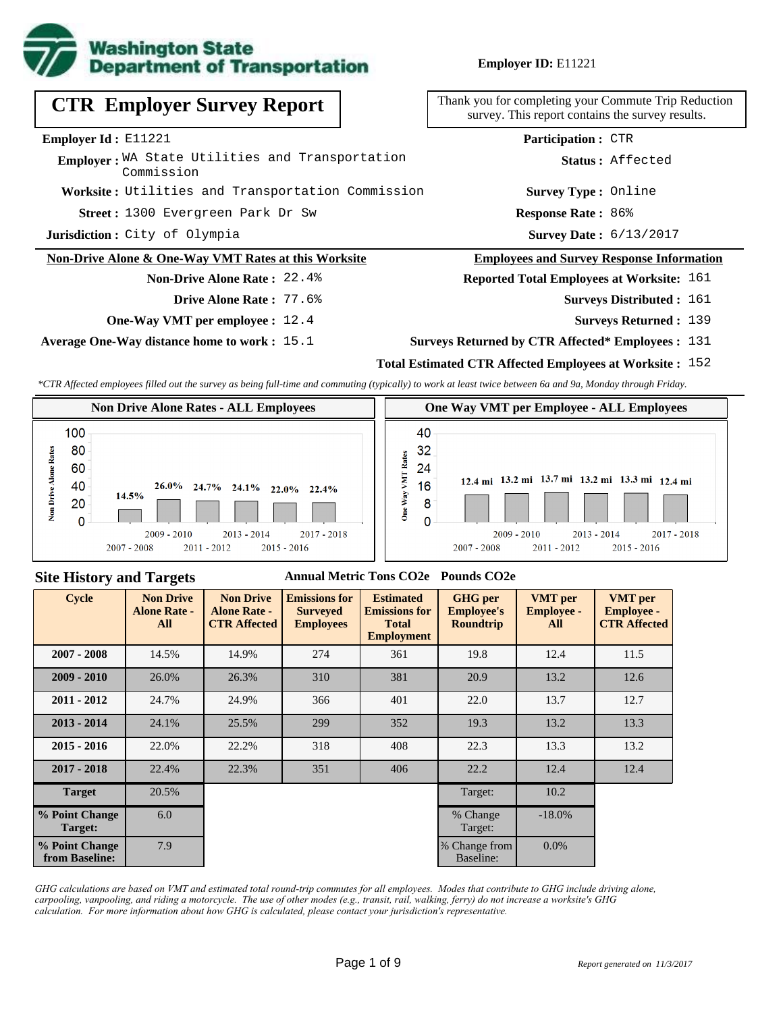

### **Employer ID:** E11221

|  | <b>CTR Employer Survey Report</b> |  |  |
|--|-----------------------------------|--|--|
|--|-----------------------------------|--|--|

**Employer Id :** E11221

**Employer:** WA State Utilities and Transportation Commission

**Worksite :** Utilities and Transportation Commission

1300 Evergreen Park Dr Sw **Response Rate : Street :**

**Jurisdiction :** City of Olympia

#### **Non-Drive Alone & One-Way VMT Rates at this Worksite**

## **Non-Drive Alone Rate :** 22.4%

- **Drive Alone Rate :** 77.6%
- **One-Way VMT per employee :** 12.4

**Average One-Way distance home to work :** 15.1

Thank you for completing your Commute Trip Reduction survey. This report contains the survey results.

> **Response Rate: 86% Survey Type :** Online **Status :** Affected **Participation :** CTR

Survey Date: 6/13/2017

#### **Employees and Survey Response Information**

#### **Reported Total Employees at Worksite:** 161

- Surveys Distributed : 161
	- **Surveys Returned :** 139
- **Surveys Returned by CTR Affected\* Employees :** 131

## **Total Estimated CTR Affected Employees at Worksite :** 152

*\*CTR Affected employees filled out the survey as being full-time and commuting (typically) to work at least twice between 6a and 9a, Monday through Friday.*



#### **Site History and Targets**

#### **Annual Metric Tons CO2e Pounds CO2e**

| <b>Cycle</b>                     | <b>Non Drive</b><br><b>Alone Rate -</b><br>All | <b>Non Drive</b><br><b>Alone Rate -</b><br><b>CTR Affected</b> | <b>Emissions for</b><br><b>Surveyed</b><br><b>Employees</b> | <b>Estimated</b><br><b>Emissions for</b><br><b>Total</b><br><b>Employment</b> | <b>GHG</b> per<br><b>Employee's</b><br><b>Roundtrip</b> | <b>VMT</b> per<br><b>Employee -</b><br>All | <b>VMT</b> per<br><b>Employee -</b><br><b>CTR Affected</b> |
|----------------------------------|------------------------------------------------|----------------------------------------------------------------|-------------------------------------------------------------|-------------------------------------------------------------------------------|---------------------------------------------------------|--------------------------------------------|------------------------------------------------------------|
| $2007 - 2008$                    | 14.5%                                          | 14.9%                                                          | 274                                                         | 361                                                                           | 19.8                                                    | 12.4                                       | 11.5                                                       |
| $2009 - 2010$                    | 26.0%                                          | 26.3%                                                          | 381<br>310<br>20.9<br>13.2                                  |                                                                               |                                                         | 12.6                                       |                                                            |
| $2011 - 2012$                    | 24.7%                                          | 24.9%                                                          | 366                                                         | 401                                                                           | 22.0                                                    | 13.7                                       | 12.7                                                       |
| $2013 - 2014$                    | 24.1%                                          | 25.5%                                                          | 299                                                         | 352                                                                           | 19.3                                                    | 13.2                                       | 13.3                                                       |
| $2015 - 2016$                    | 22.0%                                          | 22.2%                                                          | 318                                                         | 13.3<br>408<br>22.3                                                           |                                                         |                                            | 13.2                                                       |
| $2017 - 2018$                    | 22.4%                                          | 22.3%                                                          | 351                                                         | 406                                                                           | 22.2                                                    | 12.4                                       | 12.4                                                       |
| <b>Target</b>                    | 20.5%                                          |                                                                |                                                             |                                                                               | Target:                                                 | 10.2                                       |                                                            |
| % Point Change<br>Target:        | 6.0                                            |                                                                |                                                             |                                                                               | % Change<br>Target:                                     | $-18.0\%$                                  |                                                            |
| % Point Change<br>from Baseline: | 7.9                                            |                                                                |                                                             |                                                                               | % Change from<br>Baseline:                              | $0.0\%$                                    |                                                            |

*GHG calculations are based on VMT and estimated total round-trip commutes for all employees. Modes that contribute to GHG include driving alone, carpooling, vanpooling, and riding a motorcycle. The use of other modes (e.g., transit, rail, walking, ferry) do not increase a worksite's GHG calculation. For more information about how GHG is calculated, please contact your jurisdiction's representative.*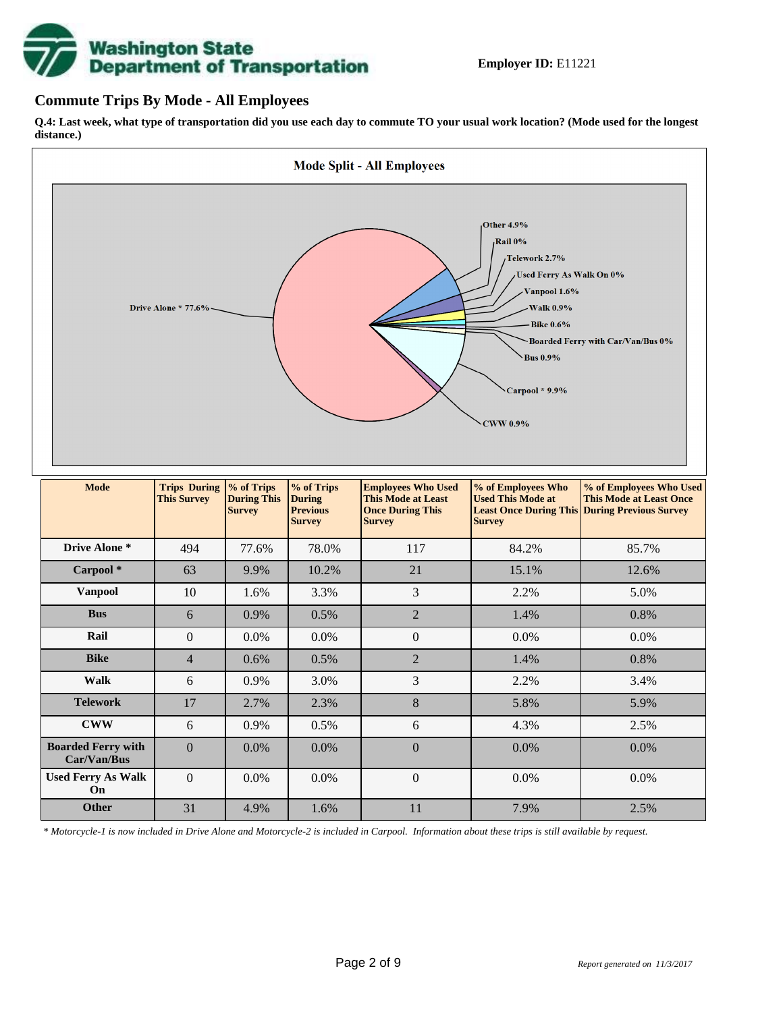# **Washington State<br>Department of Transportation**

## **Commute Trips By Mode - All Employees**

**Q.4: Last week, what type of transportation did you use each day to commute TO your usual work location? (Mode used for the longest distance.)**



*\* Motorcycle-1 is now included in Drive Alone and Motorcycle-2 is included in Carpool. Information about these trips is still available by request.*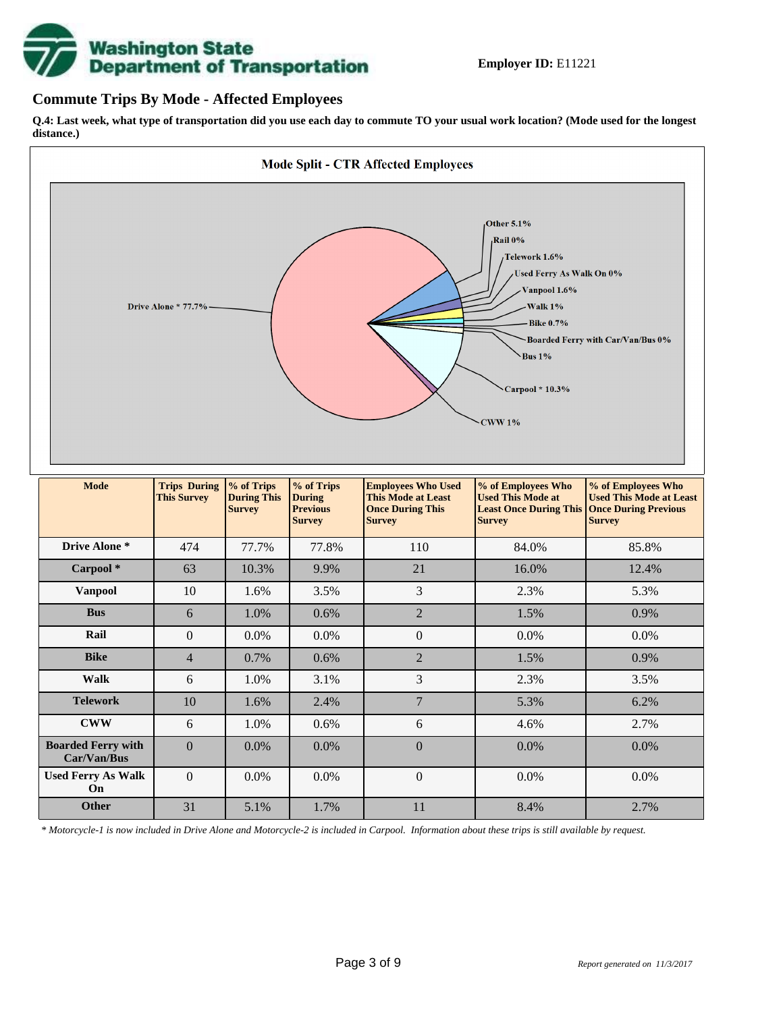

## **Commute Trips By Mode - Affected Employees**

**Q.4: Last week, what type of transportation did you use each day to commute TO your usual work location? (Mode used for the longest distance.)**



*\* Motorcycle-1 is now included in Drive Alone and Motorcycle-2 is included in Carpool. Information about these trips is still available by request.*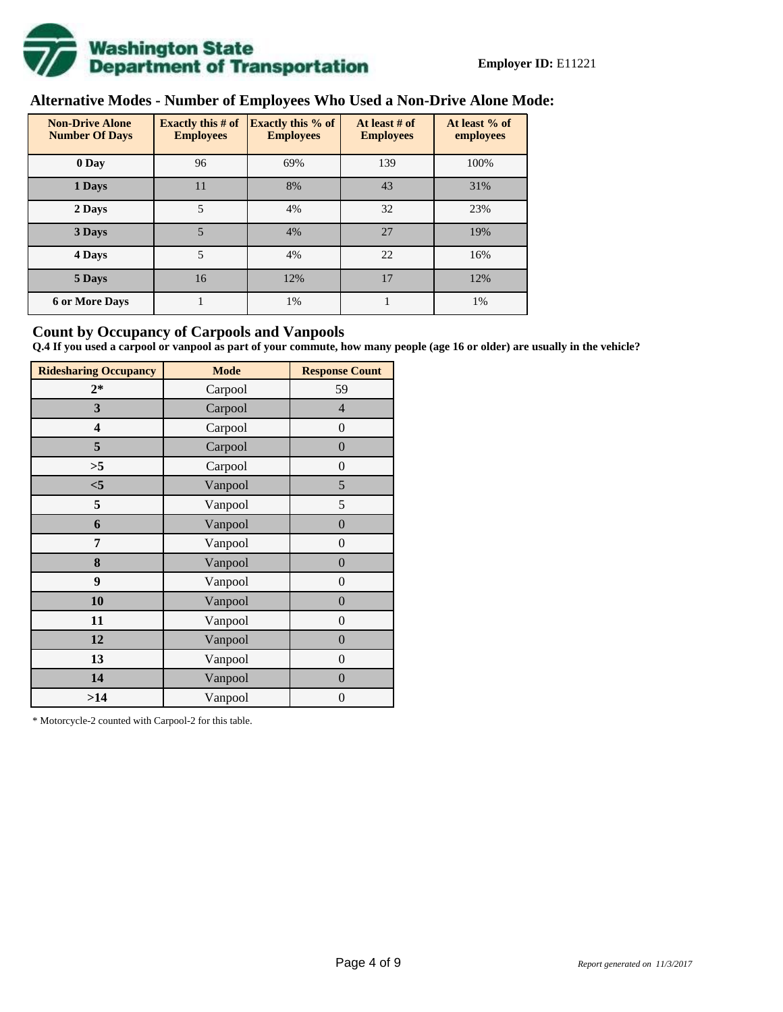

# **Alternative Modes - Number of Employees Who Used a Non-Drive Alone Mode:**

| <b>Non-Drive Alone</b><br><b>Number Of Days</b> | Exactly this $# of$<br><b>Employees</b> | <b>Exactly this % of</b><br><b>Employees</b> | At least # of<br><b>Employees</b> | At least % of<br>employees |
|-------------------------------------------------|-----------------------------------------|----------------------------------------------|-----------------------------------|----------------------------|
| 0 Day                                           | 96                                      | 69%                                          | 139                               | 100%                       |
| 1 Days                                          | 11                                      | 8%                                           | 43                                | 31%                        |
| 2 Days                                          | 5                                       | 4%                                           | 32                                | 23%                        |
| 3 Days                                          | 5                                       | 4%                                           | 27                                | 19%                        |
| 4 Days                                          | 5                                       | 4%                                           | 22                                | 16%                        |
| 5 Days                                          | 16                                      | 12%                                          | 17                                | 12%                        |
| <b>6 or More Days</b>                           |                                         | 1%                                           |                                   | 1%                         |

## **Count by Occupancy of Carpools and Vanpools**

**Q.4 If you used a carpool or vanpool as part of your commute, how many people (age 16 or older) are usually in the vehicle?**

| <b>Ridesharing Occupancy</b> | <b>Mode</b> | <b>Response Count</b> |
|------------------------------|-------------|-----------------------|
| $2*$                         | Carpool     | 59                    |
| 3                            | Carpool     | $\overline{4}$        |
| 4                            | Carpool     | $\boldsymbol{0}$      |
| 5                            | Carpool     | $\boldsymbol{0}$      |
| >5                           | Carpool     | $\overline{0}$        |
| $<$ 5                        | Vanpool     | 5                     |
| 5                            | Vanpool     | 5                     |
| 6                            | Vanpool     | $\boldsymbol{0}$      |
| 7                            | Vanpool     | $\boldsymbol{0}$      |
| 8                            | Vanpool     | $\boldsymbol{0}$      |
| 9                            | Vanpool     | $\boldsymbol{0}$      |
| 10                           | Vanpool     | $\overline{0}$        |
| 11                           | Vanpool     | $\overline{0}$        |
| 12                           | Vanpool     | $\boldsymbol{0}$      |
| 13                           | Vanpool     | $\boldsymbol{0}$      |
| 14                           | Vanpool     | $\overline{0}$        |
| >14                          | Vanpool     | $\boldsymbol{0}$      |

\* Motorcycle-2 counted with Carpool-2 for this table.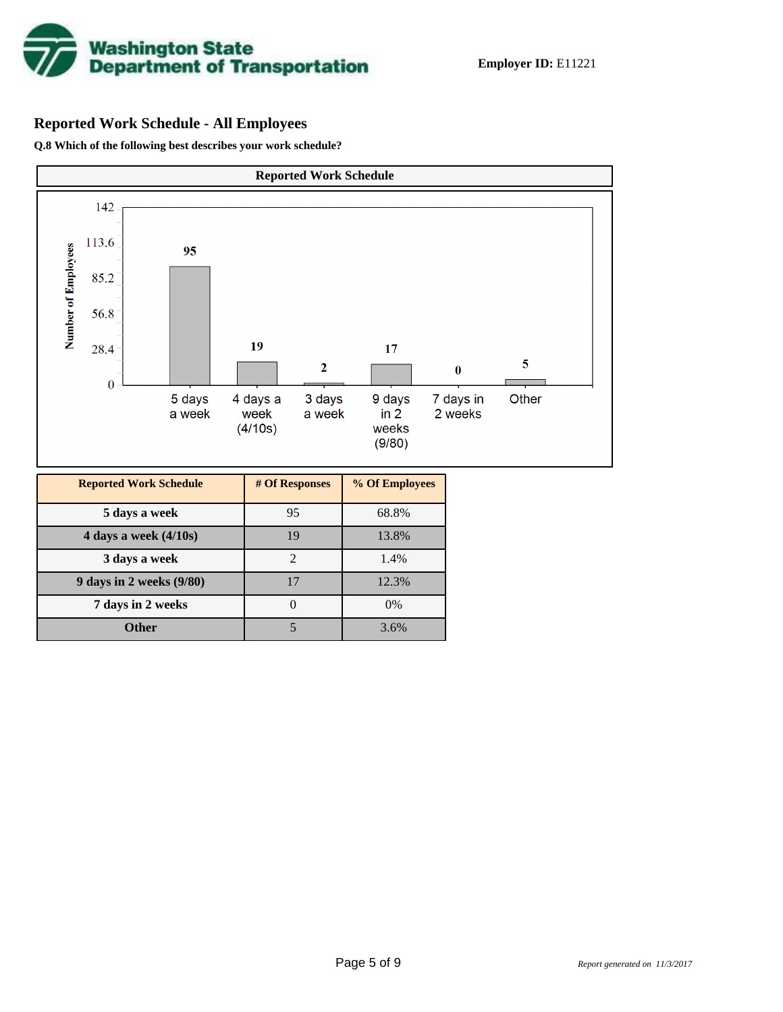

# **Reported Work Schedule - All Employees**

**Q.8 Which of the following best describes your work schedule?**

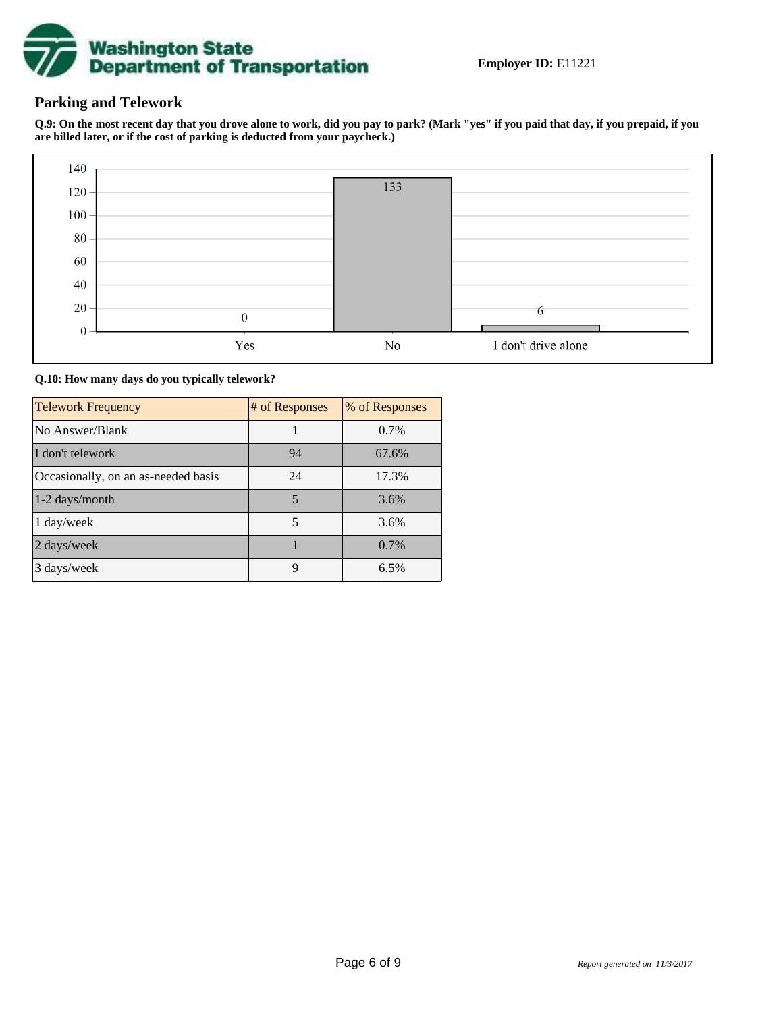

## **Parking and Telework**

**Q.9: On the most recent day that you drove alone to work, did you pay to park? (Mark "yes" if you paid that day, if you prepaid, if you are billed later, or if the cost of parking is deducted from your paycheck.)**



**Q.10: How many days do you typically telework?**

| <b>Telework Frequency</b>           | # of Responses | % of Responses |
|-------------------------------------|----------------|----------------|
| No Answer/Blank                     |                | 0.7%           |
| I don't telework                    | 94             | 67.6%          |
| Occasionally, on an as-needed basis | 24             | 17.3%          |
| 1-2 days/month                      | 5              | 3.6%           |
| 1 day/week                          | 5              | 3.6%           |
| 2 days/week                         |                | $0.7\%$        |
| 3 days/week                         | 9              | 6.5%           |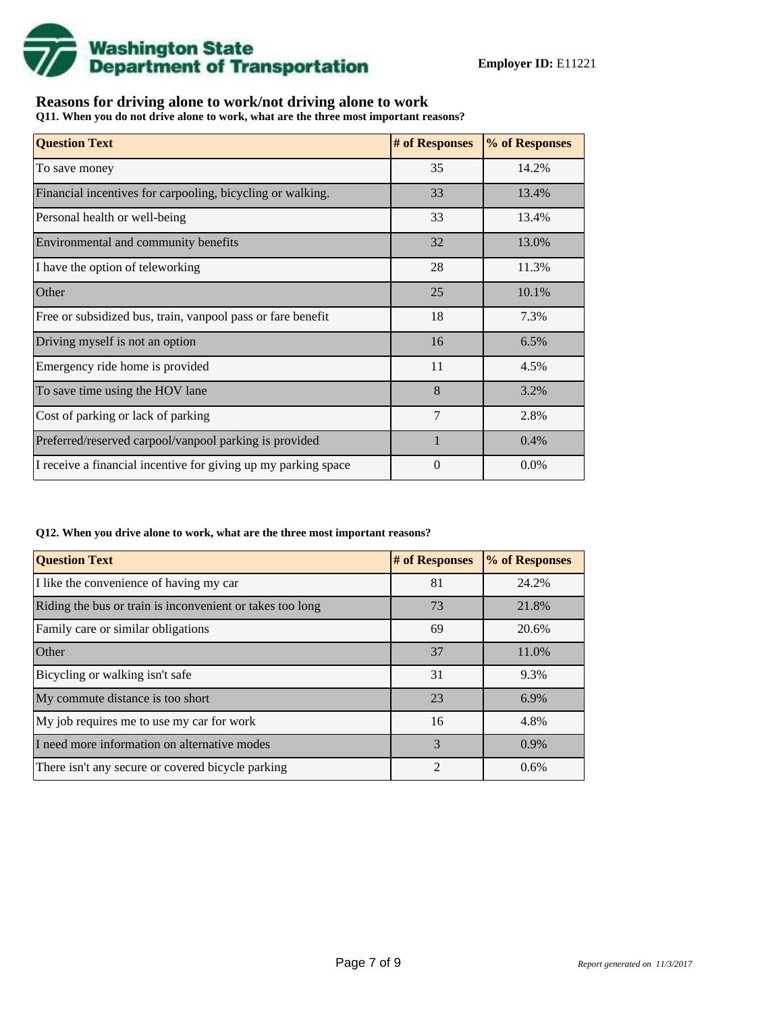

## **Reasons for driving alone to work/not driving alone to work**

**Q11. When you do not drive alone to work, what are the three most important reasons?**

| <b>Question Text</b>                                           | # of Responses | % of Responses |
|----------------------------------------------------------------|----------------|----------------|
| To save money                                                  | 35             | 14.2%          |
| Financial incentives for carpooling, bicycling or walking.     | 33             | 13.4%          |
| Personal health or well-being                                  | 33             | 13.4%          |
| Environmental and community benefits                           | 32             | 13.0%          |
| I have the option of teleworking                               | 28             | 11.3%          |
| Other                                                          | 25             | 10.1%          |
| Free or subsidized bus, train, vanpool pass or fare benefit    | 18             | 7.3%           |
| Driving myself is not an option                                | 16             | 6.5%           |
| Emergency ride home is provided                                | 11             | 4.5%           |
| To save time using the HOV lane                                | 8              | 3.2%           |
| Cost of parking or lack of parking                             | 7              | 2.8%           |
| Preferred/reserved carpool/vanpool parking is provided         | $\mathbf{1}$   | 0.4%           |
| I receive a financial incentive for giving up my parking space | $\Omega$       | 0.0%           |

#### **Q12. When you drive alone to work, what are the three most important reasons?**

| <b>Question Text</b>                                      | # of Responses | % of Responses |
|-----------------------------------------------------------|----------------|----------------|
| I like the convenience of having my car                   | 81             | 24.2%          |
| Riding the bus or train is inconvenient or takes too long | 73             | 21.8%          |
| Family care or similar obligations                        | 69             | 20.6%          |
| <b>Other</b>                                              | 37             | 11.0%          |
| Bicycling or walking isn't safe                           | 31             | 9.3%           |
| My commute distance is too short                          | 23             | 6.9%           |
| My job requires me to use my car for work                 | 16             | 4.8%           |
| I need more information on alternative modes              | $\mathcal{R}$  | 0.9%           |
| There isn't any secure or covered bicycle parking         | $\mathfrak{D}$ | 0.6%           |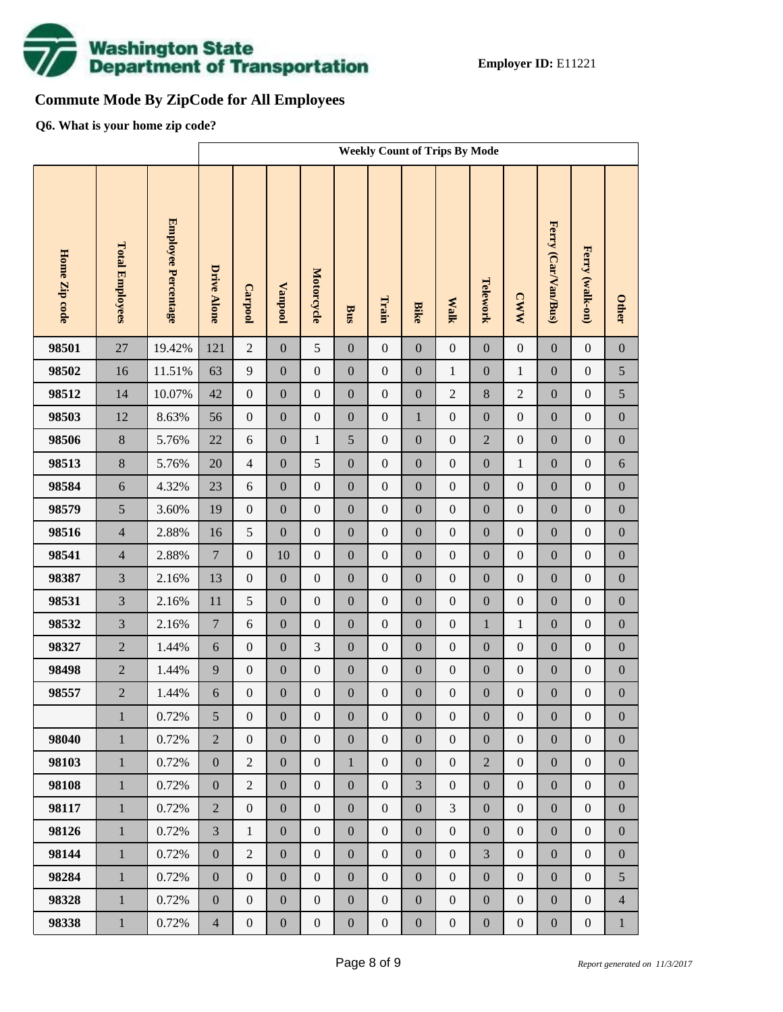

# **Commute Mode By ZipCode for All Employees**

**Q6. What is your home zip code?**

|               |                        |                            | <b>Weekly Count of Trips By Mode</b> |                  |                  |                  |                  |                  |                  |                  |                  |                  |                     |                  |                  |
|---------------|------------------------|----------------------------|--------------------------------------|------------------|------------------|------------------|------------------|------------------|------------------|------------------|------------------|------------------|---------------------|------------------|------------------|
| Home Zip code | <b>Total Employees</b> | <b>Employee Percentage</b> | <b>Drive Alone</b>                   | Carpool          | <b>Vanpool</b>   | Motorcycle       | Bus              | Train            | <b>Bike</b>      | <b>Walk</b>      | Telework         | <b>CWW</b>       | Ferry (Car/Van/Bus) | Ferry (walk-on)  | <b>Other</b>     |
| 98501         | 27                     | 19.42%                     | 121                                  | $\overline{2}$   | $\boldsymbol{0}$ | 5                | $\overline{0}$   | $\boldsymbol{0}$ | $\overline{0}$   | $\boldsymbol{0}$ | $\boldsymbol{0}$ | $\boldsymbol{0}$ | $\mathbf{0}$        | $\boldsymbol{0}$ | $\boldsymbol{0}$ |
| 98502         | 16                     | 11.51%                     | 63                                   | 9                | $\boldsymbol{0}$ | $\boldsymbol{0}$ | $\boldsymbol{0}$ | $\boldsymbol{0}$ | $\boldsymbol{0}$ | $\mathbf{1}$     | $\boldsymbol{0}$ | $\mathbf{1}$     | $\boldsymbol{0}$    | $\boldsymbol{0}$ | 5                |
| 98512         | 14                     | 10.07%                     | 42                                   | $\boldsymbol{0}$ | $\boldsymbol{0}$ | $\boldsymbol{0}$ | $\boldsymbol{0}$ | $\boldsymbol{0}$ | $\boldsymbol{0}$ | $\overline{c}$   | $\,8\,$          | $\sqrt{2}$       | $\boldsymbol{0}$    | $\boldsymbol{0}$ | 5                |
| 98503         | 12                     | 8.63%                      | 56                                   | $\boldsymbol{0}$ | $\boldsymbol{0}$ | $\boldsymbol{0}$ | $\boldsymbol{0}$ | $\boldsymbol{0}$ | $\mathbf 1$      | $\boldsymbol{0}$ | $\boldsymbol{0}$ | $\boldsymbol{0}$ | $\boldsymbol{0}$    | $\boldsymbol{0}$ | $\boldsymbol{0}$ |
| 98506         | $8\,$                  | 5.76%                      | $22\,$                               | $\sqrt{6}$       | $\boldsymbol{0}$ | $\mathbf{1}$     | 5                | $\boldsymbol{0}$ | $\boldsymbol{0}$ | $\boldsymbol{0}$ | $\overline{2}$   | $\boldsymbol{0}$ | $\boldsymbol{0}$    | $\boldsymbol{0}$ | $\boldsymbol{0}$ |
| 98513         | $\bf 8$                | 5.76%                      | 20                                   | $\overline{4}$   | $\boldsymbol{0}$ | 5                | $\boldsymbol{0}$ | $\boldsymbol{0}$ | $\overline{0}$   | $\boldsymbol{0}$ | $\boldsymbol{0}$ | $\mathbf{1}$     | $\boldsymbol{0}$    | $\boldsymbol{0}$ | $\sqrt{6}$       |
| 98584         | $\sqrt{6}$             | 4.32%                      | 23                                   | $\sqrt{6}$       | $\boldsymbol{0}$ | $\boldsymbol{0}$ | $\boldsymbol{0}$ | $\boldsymbol{0}$ | $\boldsymbol{0}$ | $\boldsymbol{0}$ | $\boldsymbol{0}$ | $\boldsymbol{0}$ | $\boldsymbol{0}$    | $\boldsymbol{0}$ | $\boldsymbol{0}$ |
| 98579         | 5                      | 3.60%                      | 19                                   | $\boldsymbol{0}$ | $\boldsymbol{0}$ | $\boldsymbol{0}$ | $\boldsymbol{0}$ | $\boldsymbol{0}$ | $\overline{0}$   | $\boldsymbol{0}$ | $\boldsymbol{0}$ | $\boldsymbol{0}$ | $\boldsymbol{0}$    | $\boldsymbol{0}$ | $\boldsymbol{0}$ |
| 98516         | $\overline{4}$         | 2.88%                      | 16                                   | 5                | $\boldsymbol{0}$ | $\boldsymbol{0}$ | $\boldsymbol{0}$ | $\boldsymbol{0}$ | $\boldsymbol{0}$ | $\boldsymbol{0}$ | $\boldsymbol{0}$ | $\boldsymbol{0}$ | $\boldsymbol{0}$    | $\boldsymbol{0}$ | $\boldsymbol{0}$ |
| 98541         | $\overline{4}$         | 2.88%                      | $\boldsymbol{7}$                     | $\boldsymbol{0}$ | 10               | $\boldsymbol{0}$ | $\boldsymbol{0}$ | $\boldsymbol{0}$ | $\overline{0}$   | $\boldsymbol{0}$ | $\boldsymbol{0}$ | $\boldsymbol{0}$ | $\boldsymbol{0}$    | $\boldsymbol{0}$ | $\boldsymbol{0}$ |
| 98387         | $\overline{3}$         | 2.16%                      | 13                                   | $\boldsymbol{0}$ | $\boldsymbol{0}$ | $\boldsymbol{0}$ | $\boldsymbol{0}$ | $\boldsymbol{0}$ | $\boldsymbol{0}$ | $\boldsymbol{0}$ | $\boldsymbol{0}$ | $\boldsymbol{0}$ | $\boldsymbol{0}$    | $\boldsymbol{0}$ | $\boldsymbol{0}$ |
| 98531         | $\overline{3}$         | 2.16%                      | 11                                   | 5                | $\boldsymbol{0}$ | $\boldsymbol{0}$ | $\boldsymbol{0}$ | $\boldsymbol{0}$ | $\overline{0}$   | $\boldsymbol{0}$ | $\boldsymbol{0}$ | $\boldsymbol{0}$ | $\boldsymbol{0}$    | $\boldsymbol{0}$ | $\boldsymbol{0}$ |
| 98532         | $\overline{3}$         | 2.16%                      | $\boldsymbol{7}$                     | $6\,$            | $\boldsymbol{0}$ | $\boldsymbol{0}$ | $\boldsymbol{0}$ | $\boldsymbol{0}$ | $\boldsymbol{0}$ | $\boldsymbol{0}$ | $\mathbf{1}$     | $\,1$            | $\boldsymbol{0}$    | $\boldsymbol{0}$ | $\boldsymbol{0}$ |
| 98327         | $\overline{2}$         | 1.44%                      | $\sqrt{6}$                           | $\boldsymbol{0}$ | $\boldsymbol{0}$ | 3                | $\boldsymbol{0}$ | $\boldsymbol{0}$ | $\overline{0}$   | $\boldsymbol{0}$ | $\boldsymbol{0}$ | $\boldsymbol{0}$ | $\boldsymbol{0}$    | $\boldsymbol{0}$ | $\boldsymbol{0}$ |
| 98498         | $\overline{2}$         | 1.44%                      | 9                                    | $\boldsymbol{0}$ | $\boldsymbol{0}$ | $\boldsymbol{0}$ | $\boldsymbol{0}$ | $\boldsymbol{0}$ | $\boldsymbol{0}$ | $\boldsymbol{0}$ | $\boldsymbol{0}$ | $\boldsymbol{0}$ | $\boldsymbol{0}$    | $\boldsymbol{0}$ | $\boldsymbol{0}$ |
| 98557         | $\overline{c}$         | 1.44%                      | $\sqrt{6}$                           | $\boldsymbol{0}$ | $\boldsymbol{0}$ | $\boldsymbol{0}$ | $\boldsymbol{0}$ | $\boldsymbol{0}$ | $\mathbf{0}$     | $\boldsymbol{0}$ | $\boldsymbol{0}$ | $\boldsymbol{0}$ | $\boldsymbol{0}$    | $\boldsymbol{0}$ | $\boldsymbol{0}$ |
|               | $\mathbf{1}$           | $0.72\%$                   | 5                                    | $\boldsymbol{0}$ | $\boldsymbol{0}$ | $\boldsymbol{0}$ | $\boldsymbol{0}$ | $\boldsymbol{0}$ | $\boldsymbol{0}$ | $\mathbf{0}$     | $\boldsymbol{0}$ | $\boldsymbol{0}$ | $\boldsymbol{0}$    | $\boldsymbol{0}$ | $\boldsymbol{0}$ |
| 98040         | $\mathbf{1}$           | 0.72%                      | $\overline{2}$                       | $\overline{0}$   | $\boldsymbol{0}$ | $\boldsymbol{0}$ | $\overline{0}$   | $\boldsymbol{0}$ | $\overline{0}$   | $\boldsymbol{0}$ | $\boldsymbol{0}$ | $\boldsymbol{0}$ | $\boldsymbol{0}$    | $\boldsymbol{0}$ | $\overline{0}$   |
| 98103         | $\,1\,$                | 0.72%                      | $\boldsymbol{0}$                     | $\overline{2}$   | $\boldsymbol{0}$ | $\boldsymbol{0}$ | $\mathbf{1}$     | $\boldsymbol{0}$ | $\overline{0}$   | $\boldsymbol{0}$ | $\overline{2}$   | $\boldsymbol{0}$ | $\boldsymbol{0}$    | $\boldsymbol{0}$ | $\boldsymbol{0}$ |
| 98108         | $\mathbf{1}$           | 0.72%                      | $\boldsymbol{0}$                     | $\overline{2}$   | $\boldsymbol{0}$ | $\boldsymbol{0}$ | $\boldsymbol{0}$ | $\boldsymbol{0}$ | $\overline{3}$   | $\boldsymbol{0}$ | $\boldsymbol{0}$ | $\boldsymbol{0}$ | $\boldsymbol{0}$    | $\boldsymbol{0}$ | $\boldsymbol{0}$ |
| 98117         | $\mathbf{1}$           | 0.72%                      | $\overline{2}$                       | $\boldsymbol{0}$ | $\boldsymbol{0}$ | $\boldsymbol{0}$ | $\overline{0}$   | $\boldsymbol{0}$ | $\overline{0}$   | $\overline{3}$   | $\boldsymbol{0}$ | $\boldsymbol{0}$ | $\boldsymbol{0}$    | $\boldsymbol{0}$ | $\boldsymbol{0}$ |
| 98126         | $\mathbf{1}$           | 0.72%                      | $\overline{3}$                       | $\mathbf{1}$     | $\boldsymbol{0}$ | $\boldsymbol{0}$ | $\boldsymbol{0}$ | $\boldsymbol{0}$ | $\boldsymbol{0}$ | $\boldsymbol{0}$ | $\boldsymbol{0}$ | $\boldsymbol{0}$ | $\boldsymbol{0}$    | $\boldsymbol{0}$ | $\boldsymbol{0}$ |
| 98144         | $\mathbf{1}$           | 0.72%                      | $\boldsymbol{0}$                     | $\overline{2}$   | $\boldsymbol{0}$ | $\boldsymbol{0}$ | $\overline{0}$   | $\boldsymbol{0}$ | $\overline{0}$   | $\boldsymbol{0}$ | $\overline{3}$   | $\boldsymbol{0}$ | $\boldsymbol{0}$    | $\boldsymbol{0}$ | $\boldsymbol{0}$ |
| 98284         | $\mathbf{1}$           | 0.72%                      | $\boldsymbol{0}$                     | $\boldsymbol{0}$ | $\boldsymbol{0}$ | $\boldsymbol{0}$ | $\boldsymbol{0}$ | $\boldsymbol{0}$ | $\boldsymbol{0}$ | $\boldsymbol{0}$ | $\boldsymbol{0}$ | $\boldsymbol{0}$ | $\boldsymbol{0}$    | $\boldsymbol{0}$ | 5                |
| 98328         | $\mathbf{1}$           | 0.72%                      | $\boldsymbol{0}$                     | $\boldsymbol{0}$ | $\boldsymbol{0}$ | $\boldsymbol{0}$ | $\boldsymbol{0}$ | $\boldsymbol{0}$ | $\overline{0}$   | $\boldsymbol{0}$ | $\boldsymbol{0}$ | $\boldsymbol{0}$ | $\boldsymbol{0}$    | $\boldsymbol{0}$ | $\overline{4}$   |
| 98338         | $1\,$                  | 0.72%                      | $\overline{4}$                       | $\boldsymbol{0}$ | $\boldsymbol{0}$ | $\boldsymbol{0}$ | $\boldsymbol{0}$ | $\boldsymbol{0}$ | $\boldsymbol{0}$ | $\boldsymbol{0}$ | $\boldsymbol{0}$ | $\boldsymbol{0}$ | $\boldsymbol{0}$    | $\boldsymbol{0}$ | $\mathbf{1}$     |